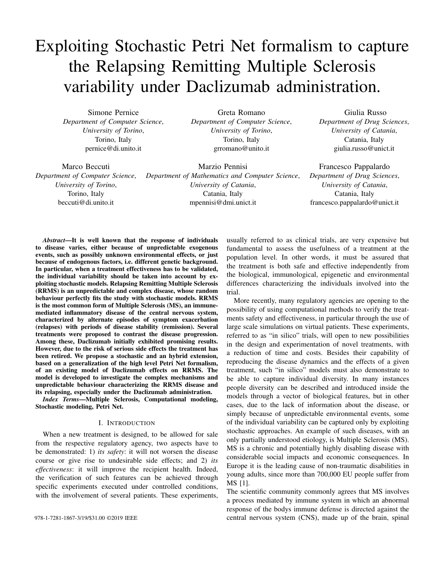# Exploiting Stochastic Petri Net formalism to capture the Relapsing Remitting Multiple Sclerosis variability under Daclizumab administration.

Simone Pernice *Department of Computer Science*, *University of Torino*, Torino, Italy pernice@di.unito.it

Greta Romano *Department of Computer Science*, *University of Torino*, Torino, Italy grromano@unito.it

Giulia Russo *Department of Drug Sciences*, *University of Catania*, Catania, Italy giulia.russo@unict.it

Marco Beccuti *Department of Computer Science*, *University of Torino*, Torino, Italy beccuti@di.unito.it

Marzio Pennisi *Department of Mathematics and Computer Science*, *University of Catania*, Catania, Italy mpennisi@dmi.unict.it

Francesco Pappalardo *Department of Drug Sciences*, *University of Catania*, Catania, Italy francesco.pappalardo@unict.it

*Abstract*—It is well known that the response of individuals to disease varies, either because of unpredictable exogenous events, such as possibly unknown environmental effects, or just because of endogenous factors, i.e. different genetic background. In particular, when a treatment effectiveness has to be validated, the individual variability should be taken into account by exploiting stochastic models. Relapsing Remitting Multiple Sclerosis (RRMS) is an unpredictable and complex disease, whose random behaviour perfectly fits the study with stochastic models. RRMS is the most common form of Multiple Sclerosis (MS), an immunemediated inflammatory disease of the central nervous system, characterized by alternate episodes of symptom exacerbation (relapses) with periods of disease stability (remission). Several treatments were proposed to contrast the disease progression. Among these, Daclizumab initially exhibited promising results. However, due to the risk of serious side effects the treatment has been retired. We propose a stochastic and an hybrid extension, based on a generalization of the high level Petri Net formalism, of an existing model of Daclizumab effects on RRMS. The model is developed to investigate the complex mechanisms and unpredictable behaviour characterizing the RRMS disease and its relapsing, especially under the Daclizumab administration.

*Index Terms*—Multiple Sclerosis, Computational modeling, Stochastic modeling, Petri Net.

#### I. INTRODUCTION

When a new treatment is designed, to be allowed for sale from the respective regulatory agency, two aspects have to be demonstrated: 1) *its safety*: it will not worsen the disease course or give rise to undesirable side effects; and 2) *its effectiveness*: it will improve the recipient health. Indeed, the verification of such features can be achieved through specific experiments executed under controlled conditions, with the involvement of several patients. These experiments,

usually referred to as clinical trials, are very expensive but fundamental to assess the usefulness of a treatment at the population level. In other words, it must be assured that the treatment is both safe and effective independently from the biological, immunological, epigenetic and environmental differences characterizing the individuals involved into the trial.

More recently, many regulatory agencies are opening to the possibility of using computational methods to verify the treatments safety and effectiveness, in particular through the use of large scale simulations on virtual patients. These experiments, referred to as "in silico" trials, will open to new possibilities in the design and experimentation of novel treatments, with a reduction of time and costs. Besides their capability of reproducing the disease dynamics and the effects of a given treatment, such "in silico" models must also demonstrate to be able to capture individual diversity. In many instances people diversity can be described and introduced inside the models through a vector of biological features, but in other cases, due to the lack of information about the disease, or simply because of unpredictable environmental events, some of the individual variability can be captured only by exploiting stochastic approaches. An example of such diseases, with an only partially understood etiology, is Multiple Sclerosis (MS). MS is a chronic and potentially highly disabling disease with considerable social impacts and economic consequences. In Europe it is the leading cause of non-traumatic disabilities in young adults, since more than 700,000 EU people suffer from MS [1].

The scientific community commonly agrees that MS involves a process mediated by immune system in which an abnormal response of the bodys immune defense is directed against the 978-1-7281-1867-3/19/\$31.00 ©2019 IEEE central nervous system (CNS), made up of the brain, spinal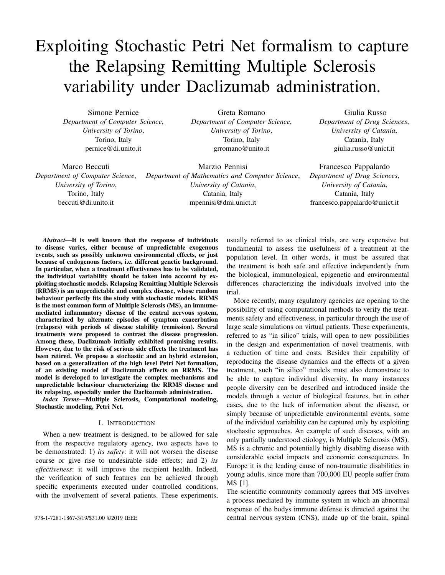cord and optic nerves. Within the CNS, the immune system causes an inflammation process that damages the myelin (i.e. the fatty substance that surrounds and insulates the nerve fibers), the nerve fibers themselves and the specialized cells that make myelin (i.e. Oligodentrocytes, ODC). The direct consequence of damaging in MS patients is the alteration or completely interruption of nervous messages within the CNS, producing a variety of neurological symptoms that will vary among people with MS in type and severity. As already stated, the causes of MS are still not very clear, but physicians retain that they include abnormalities in the immune system and environmental factors (e.g. Epstein-Barr Virus) that combine to trigger the disease [2]. People with MS typically experience one of four disease patterns (types of MS) with a predominance of the Relapsing-Remitting MS (RRMS) course observed in approximately 85% of patients at diagnosis [2]. RRMS patients alternate episodes of symptom exacerbation (relapses) with periods of disease stability with complete or partial recovery (remission) [1]. Until now, dozen treatments have been proposed to stop, slow and contrast the RRMS progression. Such disease modifying therapies include oral agents and monoclonal antibodies, which have been designed for a selectivity of the drug action. Daclizumab (DAC) is one of the therapeutic monoclonal antibody directed with high-affinity against interleukin-2 receptor (IL2R). IL2R is the receptor-structure able to bind a key component of the immune system, Interleukin 2 (IL2). Daclizumab introduces a new mechanism of action preventing the binding of IL2 with its receptor with a consequent blocking of immune regulation and its effect on a population of cells with regulatory ability, such as the Natural Killer (NK) cells [2]. DAC efficacy was demonstrated in reducing the clinical relapse rate of RRMS, the disability progression and in improving health-related quality of life in patients with relapsing MS [2]. Daclizumab appears to be generally well tolerated by the patients but with some adverse events as infections, encephalitis, and liver damages. For these reasons Daclizumab has been withdrawn from the market worldwide.

The study and the simulation of MS involves a series of hypotheses about the disease mechanisms that cannot be always described as deterministic parameters to be included into an "in silico" model. Environmental events, the complex balance mechanism between the Treg and Teff cells , or the random spreads of self-reactive T cells cannot be well predicted, and fall within that part of uncertainty that cannot be quantified and that can potentially distinguish the disease course of different individuals, even with the same genetic background. In this perspective, some stochastic models of RRMS have been presented. Vélez de Mendizábal et al. [3] presented a Stochastic Differential Equations (SDE) model to reproduce the typical oscillating behavior of RRMS. In [4] the authors present a (stochastic) agent based model with a more complete description of the entities involved into the disease, including some thoughts about the role of vitamin D [5], and the Blood Brain Barrier [6].

Differently, in [7]–[9] a computational methodology is

proposed to analyse the RRMS behaviour exploiting the deterministic approximation of the model based on a system of ordinary differential equations. Indeed, the deterministic process is not capable to reproduce relevant random features like variance, bimodality, and tail behaviour. For these reasons, with the purpose to improve our understanding of this complex disease, we will extend the RRMS models presented in these works for the stochastic analysis.

Hence, we firstly describe how Extended Stochastic Symmetric Net (ESSN) [9], [10] formalism can be efficiently used to derive a graphical and parametric description of the system under study. Then, we show how the Master equations, that can be automatically derived from an ESSN model, well describe the stochastic behaviour of this disease. In particular, when complex models are studied, the computational cost of the stochastic simulation could become significantly high. To cope with this the so called *Hybrid models* [11], [12], where parts of model are considered deterministic and others stochastic, can be exploited to obtain a good approximation of the system behaviour reducing computational cost.

Then, to show the relevance to consider the stochasticity and variability into a biological system, we applied such methodology to the RRMS model introduced in [8], [9].

In conclusion, in this work we firstly describe how the ESSN formalism can be efficiently used to derive a graphical and parametric description of the system under study, and secondly how to obtain automatically the Master equations, which reproduce the stochastic disease dynamics. Finally we test the proposed methodology constructing two different models, the former completely stochastic and the latter hybrid, which allow us to analyse the variability characterizing the Daclizumab administration considering a diseased RRMS patient.

## II. BACKGROUND

In this section we introduce the high-level Petri Net extension called Extended Stochastic Symmetric Net (ESSN) [9], which is used to model and analyze our case study. Then, we report how the stochastic behaviour of a system modeled through such a formalism can be efficiently computed by exploiting the Gillespie algorithm, and by a hybrid approach. Finally, we briefly recall the biological system characterizing the Multiple Sclerosis and its respective ESSN model, rigorously defined in [8], [9].

## *A. Extended Stochastic Symmetric Net*

Petri Nets (PNs) [13] and their extensions are widely recognized to be a powerful tool for modeling and studying biological systems thanks to their ability of representing systems in a graphical manner and of allowing the computation of qualitative and quantitative information about the behavior of these systems. Among the PN generalisations proposed in literature, Extended Stochastic Symmetric Nets (ESSNs) [9], [10] extend the PN formalism providing a more compact, parametric, and readable representation of the system.

In details, ESSNs are bipartite directed graphs with two types of nodes, the former are called *places* and are graphically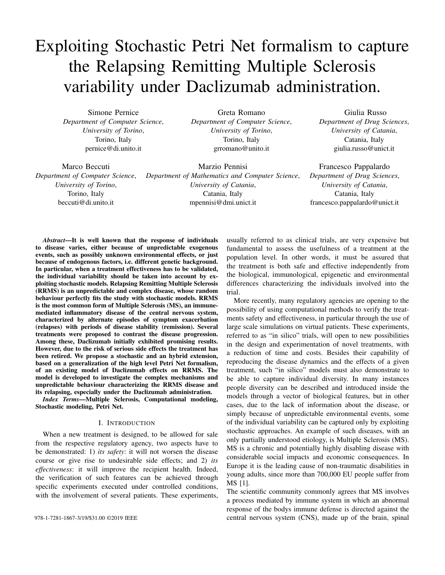represented as circles, the latter are called *transitions* and are graphically represented as boxes. Usually, places correspond to the state variables of the system, and the transitions to the events that might occur. Two different nodes are connected by *arcs*, which express the relation between states and event occurrences. To each arc is associated a specific cardinality (multiplicity), describing the number of *tokens*, objects contained in each place and drawn as black dots, whose can be removed from (or added to) the corresponding place. In ESSN, it is possible to associate specific information (i.e. colors) with each token, making the model more compact and parametric. Then, the number of colored tokens in each place defines the state of an ESSN, called *marking*.

We define a transition enabled, if and only if each input place contains a number of tokens greater or equal than a given threshold defined by the cardinality of the corresponding input arcs. Thus, the firing of an enabled transition removes a fixed number of tokens from its input places and adds a fixed number of tokens into its output places, according to the cardinality of its input/output arcs. Hence, to allow the definition of complex rate functions, the set of transitions  $T$  is split in two sub-sets  $T_{ma}$  and  $T_g$ , distinguishing the *standard* transitions, which fire with a rate following a Mass Action (MA) law, and the *general* transitions, whose random firing delay have rates that are defined as general real functions that might depend only from the time and the corresponding input places. The *standard* transitions are graphically represented by white bars, while the *general* ones by black bars.

An example of a simple ESSN is given in Fig. 1, where it is represented the activation, and so the entrance to system, of the Effector T cells (Teff) due to the Epstain Bar Virus (EBV) occurrence. The Teff cells start to attack both the virus cells and the myelin sheaths, expressed by the Oligodentrocytes (ODC), given the structure similarity of the viral protein with myelin proteins. This is a sub net of the more complex ESSN represented in Fig. 2, for this reason further details will be given in Sec.II-C. This sub net is characterized by three places, *Teff*, *EBV* and *ODC*, representing the Effector T cells, Epstain Bar Virus cells, and the Oligodentrocytes cells, respectively. This model is defined by one standard transition representing the Teff cells death, namely *TeffDeath*, and by four general transitions modeling: the virus occurrence, i.e. the activation of the Teff cells, the control mechanism given by the Teffs over the EBV cells, and finally the damage of the mylen sheets, respectively called *EBV injection*, *TeffActivation*, *TeffKillsEBV*, and *TeffKillsODC*.

To associate colors with the tokens, we have to define a color domain to each place  $p$ , denoted  $cd(p)$ . Color domains are defined by the Cartesian product of elementary types called *color classes*,  $C = fC_1$ ; ::;;  $C_n g$ , which are finite and disjoint sets, and might be further partitioned into (static) subclasses. Similarly, a color domain is associated with transitions and is defined as a set of typed variables, where the variables are those appearing in the functions labeling the transition arcs and their types are the color classes. Then, we can define an instance, denoted as  $\hbar t$ ; ci, of a given transition

 $t$  as an assignment (or binding)  $c$  of the transition variables to a specific color of a proper type. Moreover, we define *guard* a logical expression defined on the color domain of the transition, which can be used to define restrictions on the allowed instances of a transition. For instance, in the example in the Fig. 1 the *ODC* color domain is defined by one color class, the myelination levels of ODC cells, named  $Mye$ . This is divided into 5 static subclasses (i.e.  $L_{min}$ ;  $L1$ ;  $L2$ ;  $L3$  and  $L_{max}$ ) so that myelination level ranges from an irreversible damage ( $L_{min}$ , no myelination) to no damages ( $L_{max}$ , full myelination). So, the color domain of *TeffKillsODC* transition, representing the damage of an ODC cell, is Mye and the variable characterizing its input arc is  $12$  Mye.

Each ESSN arc is labeled with an expression defined by the function  $I[p; t]$ , if the arc connects a place  $p$  to a transition t, or  $O[p, t]$  for the opposite direction. The evaluation of  $I[p, t]$ (resp.  $O[p, t]$ ), given a legal binding of t, provides the multiset of colored tokens that will be withdrawn from (input arc) or will be added to (output arc) the place connected to that arc by the firing of such transition instance. Moreover, we denote with t and t the set of input and output places, respectively, of the transition t. We use the notation  $E(t; m)$  to denote the set of all instances of  $t$  enabled in marking  $m$ . Where, in the case of ESSN formalism, a transition instance  $\hbar t$ ; ci is enabled and can fire in an marking  $m$ , if: (1) its guard evaluated on  $c$ is true; (2) for each place p we have that  $I[p; t](c)$   $m(p)$ , where is the comparison operator among multisets. The firing of the enabled transition instance  $\hbar t$ ; ci in m produces a new marking  $m^{\beta}$  such that, for each place  $\rho$ , we have  $m^{\beta}(\rho) =$  $m(p) + O[p; t](c)$   $I[p; t](c)$ .

In ESSNs each transition is associated with a specific rate, representing the parameter of the exponential distribution that simulates its firing time. So, let define  $\hat{m}$ ( ) =  $m($  )<sub>j t</sub> as the subset of the marking  $m($ ) concerning only the input places to the transition  $t$ . Then, the parameter associated with an enabled transition instance  $\hbar t$ ; ci is given by the function

 $\left($ 

$$
F(m(\cdot);t;c;\cdot):=\begin{cases} \n\frac{\langle m(\cdot);t;c\rangle}{f_{ht;ci}(m(\cdot);t)} & t \geq T_{ma}; \\
f_{ht;ci}(m(\cdot);t) & t \geq T_g; \\
f_{ht;ci}(r) & t & t < T_g.\n\end{cases} \tag{1}
$$

where =  $f f_{ht, ci} g_{t2T}$  ^c2cd(t) is set grouping all the real functions characterizing the transition speeds  $8t \, 2 \, T$ , with  $f_{ht;ci}$  = '(; t; c) when  $t \, 2 \, T_{ma}$ . Where '(m(); t; c) is the MA law, i.e.

$$
P(m(1); t; c) = P(t; c)
$$
  
\n
$$
P_{p_j; c^0(j)} \sim p_{p_j; c^0(j)} P_{p_j; c^0(j)}
$$
  
\n
$$
P_{p_j; c^0(j)} P_{p_j; c^0(j)} P_{p_j; c^0(j)}
$$

with  $f(t; c)$  the rate of the enabled transition instance  $\hbar t$ ; ci. Observe that  $^{\prime}$  ( $\hat{m}$  );  $t; c$ ) and  $f_{ht;ci}(\hat{m}(\cdot))$ ; ) can depend only on the time and the marking of the input places of transition  $t$  at time . Stochastic firing delays, sampled from a negative exponential distribution, allow one to automatically derive the underlying Continuous Time Markov Chain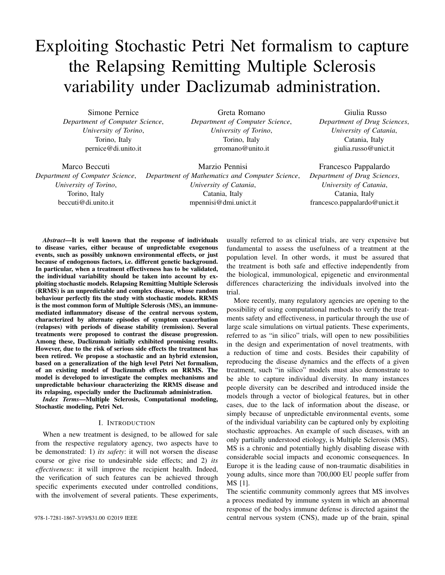(CTMC) that can be studied to quantitatively evaluate the system behaviour [13]. In details, the CTMC state space, S, corresponds to the reachability set of the corresponding ESSN, i.e. all possible markings that can be reached from the initial marking. Thus, the Master equations for the CTMC are defined as follows:

$$
\frac{d (m_{i,:})}{d} = \frac{X}{m_k} (m_k; ) q_{m_k; m_i} \qquad m_i; m_k \geq S \qquad (2)
$$

where  $(m_i; \cdot)$  represents the probability to be in marking  $m_i$  at time, and  $q_{m_k; m_i}$  the velocity to reach the marking  $m_i$  from  $m_k$ , defined as

$$
q_{m_k;m_i} = \sum_{\substack{\mathbf{t} \geq T \\ \mathcal{T}/\mathbf{t}; \mathbf{c}^{\theta} \geq \mathbf{E}(\mathbf{t};m_k)_{j m_i}}} F(m_k;\mathbf{t};\mathbf{c}^{\theta}) \left(\mathcal{L}[\rho;\mathbf{t}](\mathbf{c}^{\theta})[c]\right).
$$

Where  $E(\mathbf{t} | m_k)_{j m_i}$  is the set of all instances of **t** enabled in marking  $m_k$  whose firing bring to the marking  $m_k$ , and  $L[p; \mathbf{t}] (\mathbf{c}^{\theta})[c] = O[p; \mathbf{t}] (\mathbf{c}^{\theta})[c]$   $I[p; \mathbf{t}] (\mathbf{c}^{\theta})[c]$ .

In complex systems these equations 2 are often compuatationally intractable, then several techniques, such as the Monte Carlo simulation, can be exploited to study the system taking into account stochasticity.



**Class**  $Mye = circular$  {*l1} is Lmin + {l2} is L2 + {l3} is L3 + {l4} is L4 + {l5} is Lmax* 

Fig. 1: Sub net of ESSN Fig. 2, representing the appearance of the EBV in the system, the consequent activation of Teff cells and the damage the ODCs.

#### *B. Stochastic Simulation*

Deterministic approximation, in which the system behaviour is approximated by a deterministic model described through an Ordinary Differential Equations (ODEs) system, is one of the most used approach for studying a dynamical system. However, in those systems in which randomness plays an important role this approach is able to provide a good approximation of the real system behaviour. To deal with these systems stochastic models can be instead exploited.

In 1976 Daniel Gillespie proposed an innovative algorithm, called Stochastic Simulation Algorithm (SSA) [14], to simulate chemical or biochemical systems of reactions. The SSA is an exact stochastic method to simulate chemical systems, indeed it is possible to obtain sample trajectories distributed according to the solution of the Master equations, eq.s 2. Since this method explicitly simulates all the events that might occur in the system, it becomes often slow when the number of system molecules increased. For this reason several algorithms [15]–[17] were proposed for obtaining similar approximations as the SSA ones, but with significantly lower computational costs. One of the most common of these approximate simulation algorithms is the -leaping algorithm [16]. Indeed by using a Poisson approximation the -leaping algorithm can *leap over* many fast reactions and approximate the stochastic behavior of the system very well. Then it provides a natural connection between the SSA in the discrete stochastic regime and the explicit Euler method applied in the continuous deterministic approximation.

Differently, hybrid simulation is based on the combination of discrete and continuous variables into the same model, by defining which transitions have to be considered stochastic or deterministic. Then, the hybrid simulation co-simulates the discrete (stochastic) part of the model and the continuous (deterministic) ones. In particular, the discrete components of the model are treated according to the mechanisms of the original CTMC, eq. 2, and are simulated by exploiting the SSA algorithm components. While the continuous variables are approximated by solving an ODEs system. How to obtain the ODEs system underlying an ESSN model is rigorously explained in [9]. Thus, the resulting process is a hybrid process where the discrete state changes can be seen as switches that take the ODE simulation from one condition to another.

Indeed, this approach is an approximation of the stochastic process, and by choosing the right events (transitions) that have to be considered as continuous, a significant reduction of the computational time and a better approximation on the system behavior with respect to the deterministic simulation can be obtained. However, in this approach the choice of which transitions must be dealt as continuous ones is critical. For instance, the modeling of *fast* transitions [12] (i.e. transitions firing several times in one simulation step) such as discrete ones might return a hybrid approximation worthless compared to the stochastic simulation, since the resolution time might considerably increase due the multiples switches from one process to the other. Therefore, a pre-analysis on the net to identify the fast transitions, and so to set them as continuous variables, i.e. deterministic, could be crucial.

# *C. A model of Relapsing-Remitting Multiple Sclerosis*

RRMS is an autoimmune disease in which the immune system of the patient react against itself removing the myelin sheath (i.e. Oligodentrocyte (ODC)) from the nerve fibers of the CNS preventing the efficient transmission of the nervous signals. Although the precise cause of RRMS has not yet been established, the disease is understood to result from an abnormal immune-mediated response triggered by environmental factors in genetically susceptible individuals. In particular, viruses may play a role in MS pathogenesis acting as such environmental triggers [18]. An hypothesis is that the Epstein Barr Virus (EBV) first infection as well as the reactivation of the latent infection can cause the activation of auto-reactive T effector (Teff) lymphocytes against the CNS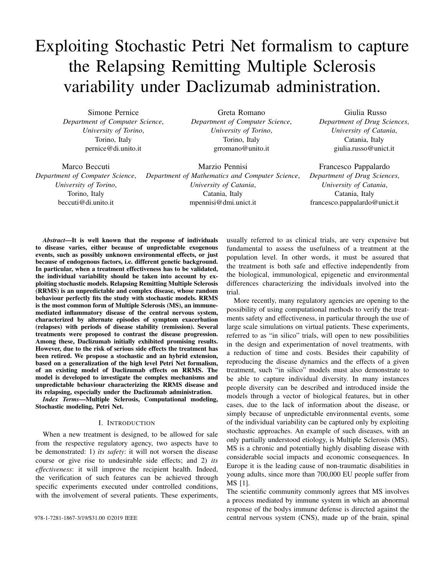resulting in damage to myelin and nerve fibers, and triggering an inflammatory cascade. Teff lymphocytes produce IL2, an immunomodulating molecule, released for a self-stimulation of Teff to duplicate and propagate their actions, via the binding of IL2 to the receptor IL2R, located on the surface of the cells [18]. In this context, another type of lymphocytes, T regulatory (Treg) and Natural Killer cells (NK) give also a contribute regulating the auto-reactive Teff cells activity and acting as first-line defense against the virus, respectively. However, despite the continuous attacking action of Teff to myelin results in a reduction of the same, it is worth to note that in some cases the ODC are able to partially recover the lost myelin if the damage is not excessive.

All these cellular interactions characterizing the RRMS are described by the model showed in Fig. 2. The model consists of 10 places and 22 transitions, four are standard and 18 general. The corresponding general functions are rigorously reported in [9]. We can distinguish seven modules corresponding to the biological entities which play a key role in the development of the disease, as illustrated in Fig. 2.

Firstly, the EBV module, characterized by the place *EBV*, simulates the virus injections in the system through the *EBVinj* transition. Then the Treg module, constituted by the *Resting Treg* and *Treg* places, encodes the arrival of new resting Treg cells from thymus, the control mechanism of the Treg over the Teff, and their activation, proliferation and death, respectively by the following transitions: *FromTimoREG*, *TregKillsTeff*, *TregActivation*, *TregDup* and *TregDeath*. Similarly to this module is the third module regarding the Teff cells, with the addition of the *EffectorMemory* place. In particular, the annihilation of the virus by the Teff action is encoded by the *TeffKillsEBV*, while the duplication transition is split into two different transitions, namely *TeffDup Sym* and *TeffDup Asym*, simulating the Teff cell proliferation which might take place in two different manners called Symmetrical and Asymmetrical processes. The fourth module is defined by one place corresponding to the NK cells. Through the transition *NKentry* is simulated the new NK cells arrival, and by the *NKKillsTeff* and *NKKillsTreg* transitions the killing of self-reactive Teff and Treg cells, respectively. Finally, the death and proliferation of the NK cells are modeled by transition *NKDeath* and *NKdup*. The IL2 module focuses on the role of this protein, and it is characterized by *IL2* place. The module encodes the IL2 consumption during the  $Treg$ ,  $T$ eff and  $NK$  proliferation, and its production from the Teff activation. The ODC module describes instead the ODC behaviour, characterized particularly by the damage caused by Teff cells on ODC cells, represented by the *TeffKillsODC* transition. To simulate this damage, we associate with the place *ODC* the color class *Mye* encoding the myelination levels of ODC. *Mye* is divided into five static subclasses ranging from *Lmin* (no myelination) to *Lmax* (full myelination). Indeed, when the myelin level reaches the lowest value, an irreversible damage occurs and a remyelinization, given by the *Remyelinization* transitions, of the neurons is no more possible. Finally, the DAC module encodes the

drug administration, modeled through the place *DAC*, and its pharmacokinetics inhibition of the expansion of Treg and Teff, decreasing the velocity of transitions *TregDup*,*TeffDup Sym*, and *TeffDup Asym*. The drug administration is modeled by transition *DACinj*, and its degradation by *DACDegradation*.

## III. RESULTS

In this section we firstly present the prototype computational framework that we developed to study the RRMS. Then, we discuss the results obtained from the stochastic and hybrid model, in which we investigated the effect of the Daclizumab administration in MS patient. In details, all the constants and parameters used were obtained from [9].



Fig. 3: Architecture of the prototype framework combining GreatSPN suite with C++.

## *A. Framework Architecture*

The framework that we developed and proposed for studying the RRMS disease is integrated in GreatSPN [19], a wellknown software suite for modeling and analyzing complex systems through the PN formalism and its generalizations. The architecture of this framework is depicted in Fig. 3. In details, by exploiting GreatSPN, a Java Graphic User Interface (GUI), it is possible to draw and build the ESSN model, then calling *PN2ODE*, a C/C++ program, the underlying stochastic and deterministic processes are generated. Then, the processes underlying the model are automatically generated and saved into a binary file with *.solver* extension, from which deterministic, hybrid, or stochastic simulation algorithm can be settled. Let us note that the type of transitions, such as general and stochastic, can be defined dynamically adding a specific label to the transition through the GreatSPN GUI. Observe that file storing the functions corresponding to the general transitions is optional and it is needed only when a rate function different from the one specified by Mass Action law is used. Finally, let us underline that the GreatSPN GUI can be downloaded at https://github.com/greatspn; instead, all the C/C++ files and the GreatSPN files of the net are freely available at https://github. com/qBioTurin/ESSNandRRMS/tree/master/StochasticModel.

## *B. Stochastic Model*

In this work we report only the trajectories related to the *ODC* and *NK* places, since they are the most important variables for identifying the spreading of the disease and the therapy effectiveness. In this experiment for the missing input parameters we used the value estimated in [9], so that RRMS patient is characterized by an irreversible damage in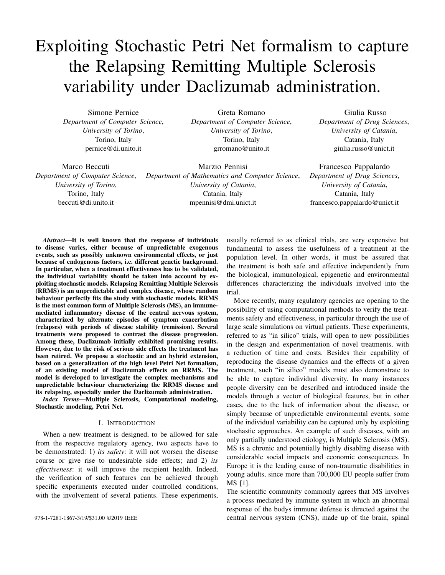

Fig. 2: RRMS Model represented by exploiting the ESSN graphical formalism.

about 80% of ODC cells. Therefore, starting with a value of 500 *ODC* cells with the highest level of neuronal myelinization, we define the disease occurrence when the lowest level of neuronal myelinization is reached for each ODC cell. This event represents an irreversible damage. For all the simulations, we assumed as initial marking the following parameters consistent with a space of  $1mm<sup>3</sup>$  of blood and  $4mm<sup>3</sup>$  of neural tissue: 500 ODC with level  $L_{max}$  of neuronal myelinization, 1687 resting Teff cells, 63 resting Treg cells, 375 NK cells and 1000 IL2 molecules, and zero cells in the other places (see [9]). In particular, we modeled firstly the developing of the disease (the Fig. 4's left column, namely "Without therapy"), and successively the Daclizumab therapy administrated by using the same initial conditions (the Fig. 4's right column, namely "With therapy"). In details, both the scenarios are characterized by five virus injections at irregular times, introducing into the system 1000 EBV copies per injection. Then, only for the second scenario we simulated the DAC administration, one each two months, at the 53rd day after the first EBV injection, introducing in the system 30 DAC molecules (it has been shown in [9] that the amount of DAC administered does not worthily impact the result). In these experiments, showed in Fig. 4, 500 trajectories (in grey) were simulated by exploiting the SSA algorithm over one year time interval [0; 364]. Thus, it is possible to see that in first scenario, both the mean trends (blue lines) of the irreversibly ODC cells damaged and NK cells, calculated from the 500 simulations, are very similar to the deterministic